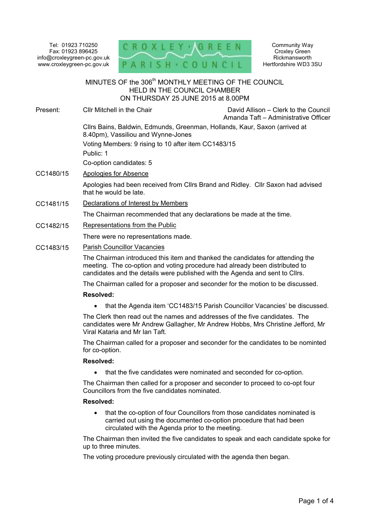Tel: 01923 710250 Fax: 01923 896425 info@croxleygreen-pc.gov.uk www.croxleygreen-pc.gov.uk



Community Way Croxley Green Rickmansworth Hertfordshire WD3 3SU

# MINUTES OF the 306<sup>th</sup> MONTHLY MEETING OF THE COUNCIL HELD IN THE COUNCIL CHAMBER ON THURSDAY 25 JUNE 2015 at 8.00PM ٦ Present: Cllr Mitchell in the Chair David Allison – Clerk to the Council Amanda Taft – Administrative Officer Cllrs Bains, Baldwin, Edmunds, Greenman, Hollands, Kaur, Saxon (arrived at 8.40pm), Vassiliou and Wynne-Jones Voting Members: 9 rising to 10 after item CC1483/15 Public: 1 Co-option candidates: 5 CC1480/15 Apologies for Absence Apologies had been received from Cllrs Brand and Ridley. Cllr Saxon had advised that he would be late. CC1481/15 Declarations of Interest by Members The Chairman recommended that any declarations be made at the time. CC1482/15 Representations from the Public There were no representations made. CC1483/15 Parish Councillor Vacancies The Chairman introduced this item and thanked the candidates for attending the meeting. The co-option and voting procedure had already been distributed to candidates and the details were published with the Agenda and sent to Cllrs. The Chairman called for a proposer and seconder for the motion to be discussed. **Resolved:**  • that the Agenda item 'CC1483/15 Parish Councillor Vacancies' be discussed. The Clerk then read out the names and addresses of the five candidates. The candidates were Mr Andrew Gallagher, Mr Andrew Hobbs, Mrs Christine Jefford, Mr Viral Kataria and Mr Ian Taft.

The Chairman called for a proposer and seconder for the candidates to be nominted for co-option.

## **Resolved:**

• that the five candidates were nominated and seconded for co-option.

The Chairman then called for a proposer and seconder to proceed to co-opt four Councillors from the five candidates nominated.

#### **Resolved:**

• that the co-option of four Councillors from those candidates nominated is carried out using the documented co-option procedure that had been circulated with the Agenda prior to the meeting.

The Chairman then invited the five candidates to speak and each candidate spoke for up to three minutes.

The voting procedure previously circulated with the agenda then began.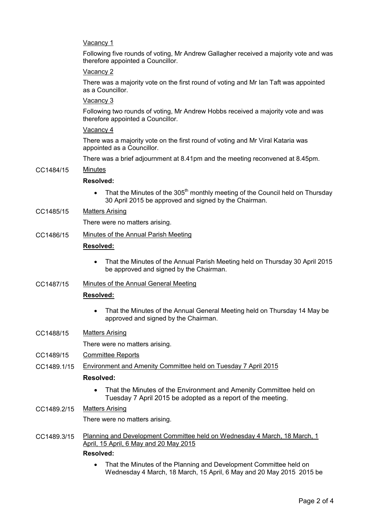# Vacancy 1

Following five rounds of voting, Mr Andrew Gallagher received a majority vote and was therefore appointed a Councillor.

#### Vacancy 2

There was a majority vote on the first round of voting and Mr Ian Taft was appointed as a Councillor.

## Vacancy 3

Following two rounds of voting, Mr Andrew Hobbs received a majority vote and was therefore appointed a Councillor.

## Vacancy 4

There was a majority vote on the first round of voting and Mr Viral Kataria was appointed as a Councillor.

There was a brief adjournment at 8.41pm and the meeting reconvened at 8.45pm.

## CC1484/15 Minutes

## **Resolved:**

- That the Minutes of the 305<sup>th</sup> monthly meeting of the Council held on Thursday 30 April 2015 be approved and signed by the Chairman.
- CC1485/15 Matters Arising

There were no matters arising.

## CC1486/15 Minutes of the Annual Parish Meeting

## **Resolved:**

- That the Minutes of the Annual Parish Meeting held on Thursday 30 April 2015 be approved and signed by the Chairman.
- CC1487/15 Minutes of the Annual General Meeting

# **Resolved:**

- That the Minutes of the Annual General Meeting held on Thursday 14 May be approved and signed by the Chairman.
- CC1488/15 Matters Arising

There were no matters arising.

- CC1489/15 Committee Reports
- CC1489.1/15 Environment and Amenity Committee held on Tuesday 7 April 2015

## **Resolved:**

• That the Minutes of the Environment and Amenity Committee held on Tuesday 7 April 2015 be adopted as a report of the meeting.

## CC1489.2/15 Matters Arising

There were no matters arising.

CC1489.3/15 Planning and Development Committee held on Wednesday 4 March, 18 March, 1 April, 15 April, 6 May and 20 May 2015

# **Resolved:**

• That the Minutes of the Planning and Development Committee held on Wednesday 4 March, 18 March, 15 April, 6 May and 20 May 2015 2015 be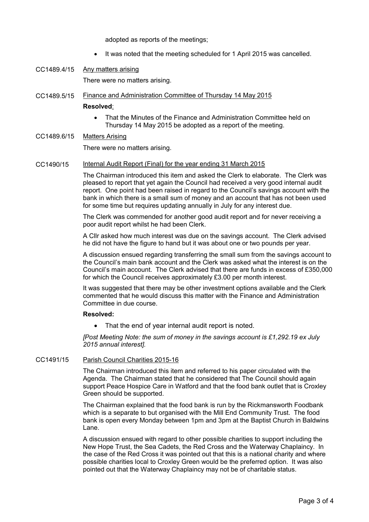adopted as reports of the meetings;

- It was noted that the meeting scheduled for 1 April 2015 was cancelled.
- CC1489.4/15 Any matters arising

There were no matters arising.

CC1489.5/15 Finance and Administration Committee of Thursday 14 May 2015

#### **Resolved**:

- That the Minutes of the Finance and Administration Committee held on Thursday 14 May 2015 be adopted as a report of the meeting.
- CC1489.6/15 Matters Arising

There were no matters arising.

CC1490/15 Internal Audit Report (Final) for the year ending 31 March 2015

The Chairman introduced this item and asked the Clerk to elaborate. The Clerk was pleased to report that yet again the Council had received a very good internal audit report. One point had been raised in regard to the Council's savings account with the bank in which there is a small sum of money and an account that has not been used for some time but requires updating annually in July for any interest due.

The Clerk was commended for another good audit report and for never receiving a poor audit report whilst he had been Clerk.

A Cllr asked how much interest was due on the savings account. The Clerk advised he did not have the figure to hand but it was about one or two pounds per year.

A discussion ensued regarding transferring the small sum from the savings account to the Council's main bank account and the Clerk was asked what the interest is on the Council's main account. The Clerk advised that there are funds in excess of £350,000 for which the Council receives approximately £3.00 per month interest.

It was suggested that there may be other investment options available and the Clerk commented that he would discuss this matter with the Finance and Administration Committee in due course.

## **Resolved:**

• That the end of year internal audit report is noted.

*[Post Meeting Note: the sum of money in the savings account is £1,292.19 ex July 2015 annual interest].* 

## CC1491/15 Parish Council Charities 2015-16

The Chairman introduced this item and referred to his paper circulated with the Agenda. The Chairman stated that he considered that The Council should again support Peace Hospice Care in Watford and that the food bank outlet that is Croxley Green should be supported.

The Chairman explained that the food bank is run by the Rickmansworth Foodbank which is a separate to but organised with the Mill End Community Trust. The food bank is open every Monday between 1pm and 3pm at the Baptist Church in Baldwins Lane.

A discussion ensued with regard to other possible charities to support including the New Hope Trust, the Sea Cadets, the Red Cross and the Waterway Chaplaincy. In the case of the Red Cross it was pointed out that this is a national charity and where possible charities local to Croxley Green would be the preferred option. It was also pointed out that the Waterway Chaplaincy may not be of charitable status.